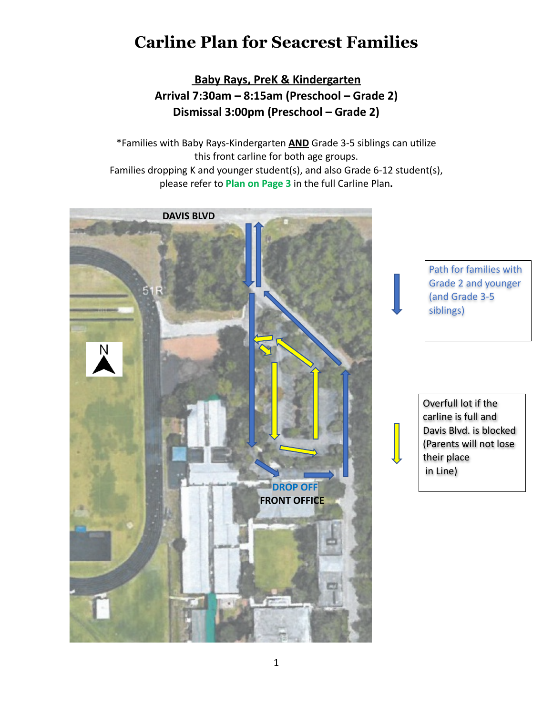## **Carline Plan for Seacrest Families**

 **Baby Rays, PreK & Kindergarten Arrival 7:30am – 8:15am (Preschool – Grade 2) Dismissal 3:00pm (Preschool – Grade 2)**

\*Families with Baby Rays-Kindergarten **AND** Grade 3-5 siblings can utilize this front carline for both age groups. Families dropping K and younger student(s), and also Grade 6-12 student(s), please refer to **Plan on Page 3** in the full Carline Plan**.**



Path for families with Grade 2 and younger (and Grade 3-5 siblings)

Overfull lot if the carline is full and Davis Blvd. is blocked (Parents will not lose their place in Line)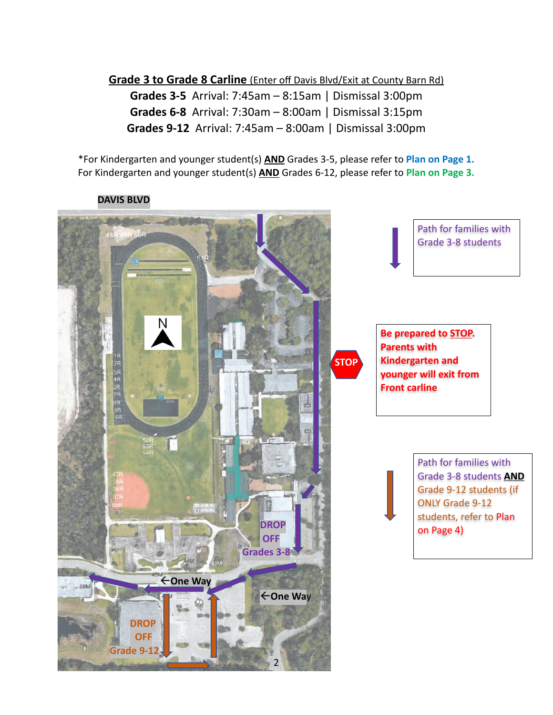**Grade 3 to Grade 8 Carline** (Enter off Davis Blvd/Exit at County Barn Rd)

**Grades 3-5** Arrival: 7:45am – 8:15am | Dismissal 3:00pm **Grades 6-8** Arrival: 7:30am – 8:00am | Dismissal 3:15pm **Grades 9-12** Arrival: 7:45am – 8:00am | Dismissal 3:00pm

\*For Kindergarten and younger student(s) **AND** Grades 3-5, please refer to **Plan on Page 1.** For Kindergarten and younger student(s) **AND** Grades 6-12, please refer to **Plan on Page 3.**

## **DAVIS BLVD**

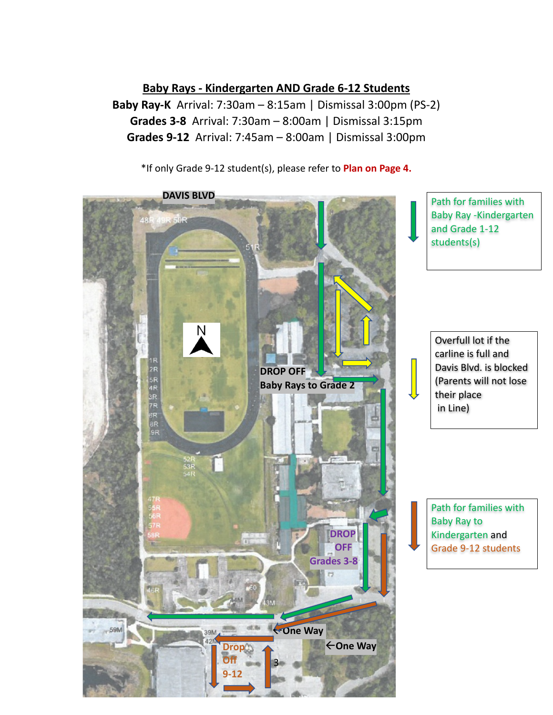**Baby Rays - Kindergarten AND Grade 6-12 Students**

**Baby Ray-K** Arrival: 7:30am – 8:15am | Dismissal 3:00pm (PS-2) **Grades 3-8** Arrival: 7:30am – 8:00am | Dismissal 3:15pm **Grades 9-12** Arrival: 7:45am – 8:00am | Dismissal 3:00pm

\*If only Grade 9-12 student(s), please refer to **Plan on Page 4.**